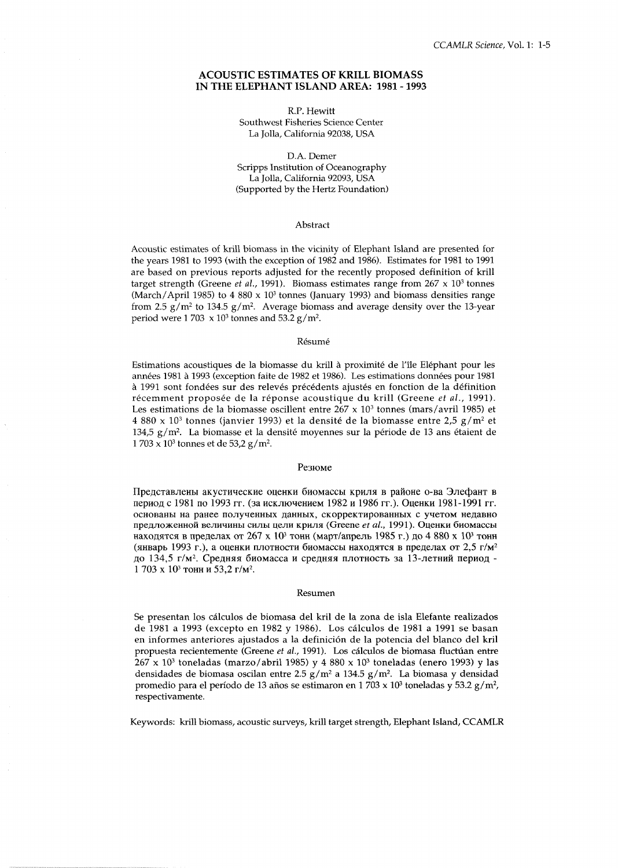### **ACOUSTIC ESTIMATES OF KRILL BIOMASS** IN THE ELEPHANT ISLAND AREA: 1981 - 1993

R.P. Hewitt Southwest Fisheries Science Center La Jolla, California 92038, USA

D.A. Demer Scripps Institution of Oceanography La Jolla, California 92093, USA (Supported by the Hertz Foundation)

#### Abstract

Acoustic estimates of krill biomass in the vicinity of Elephant Island are presented for the years 1981 to 1993 (with the exception of 1982 and 1986). Estimates for 1981 to 1991 are based on previous reports adjusted for the recently proposed definition of krill target strength (Greene *et al.*, 1991). Biomass estimates range from  $267 \times 10^3$  tonnes (March/April 1985) to 4 880 x 10<sup>3</sup> tonnes (January 1993) and biomass densities range from 2.5  $g/m^2$  to 134.5  $g/m^2$ . Average biomass and average density over the 13-year period were 1 703  $\times$  10<sup>3</sup> tonnes and 53.2 g/m<sup>2</sup>.

#### Résumé

Estimations acoustiques de la biomasse du krill à proximité de l'île Eléphant pour les années 1981 à 1993 (exception faite de 1982 et 1986). Les estimations données pour 1981 à 1991 sont fondées sur des relevés précédents ajustés en fonction de la définition récemment proposée de la réponse acoustique du krill (Greene et al., 1991). Les estimations de la biomasse oscillent entre  $267 \times 10^3$  tonnes (mars/avril 1985) et 4 880 x 10<sup>3</sup> tonnes (janvier 1993) et la densité de la biomasse entre 2,5 g/m<sup>2</sup> et 134,5 g/m<sup>2</sup>. La biomasse et la densité moyennes sur la période de 13 ans étaient de  $1703 \times 10^3$  tonnes et de 53,2 g/m<sup>2</sup>.

## Резюме

Представлены акустические оценки биомассы криля в районе о-ва Элефант в период с 1981 по 1993 гг. (за исключением 1982 и 1986 гг.). Оценки 1981-1991 гг. основаны на ранее полученных данных, скорректированных с учетом недавно предложенной величины силы цели криля (Greene et al., 1991). Оценки биомассы находятся в пределах от 267 х 10<sup>3</sup> тонн (март/апрель 1985 г.) до 4 880 х 10<sup>3</sup> тонн (январь 1993 г.), а оценки плотности биомассы находятся в пределах от 2,5 г/м<sup>2</sup> до 134,5 г/м<sup>2</sup>. Средняя биомасса и средняя плотность за 13-летний период -1703 х 10<sup>3</sup> тонн и 53,2 г/м<sup>2</sup>.

#### Resumen

Se presentan los cálculos de biomasa del kril de la zona de isla Elefante realizados de 1981 a 1993 (excepto en 1982 y 1986). Los cálculos de 1981 a 1991 se basan en informes anteriores ajustados a la definición de la potencia del blanco del kril propuesta recientemente (Greene et al., 1991). Los cálculos de biomasa fluctúan entre  $267 \times 10^3$  toneladas (marzo/abril 1985) y 4 880 x 10<sup>3</sup> toneladas (enero 1993) y las densidades de biomasa oscilan entre 2.5 g/m<sup>2</sup> a 134.5 g/m<sup>2</sup>. La biomasa y densidad promedio para el período de 13 años se estimaron en 1 703 x 10<sup>3</sup> toneladas y 53.2 g/m<sup>2</sup>, respectivamente.

Keywords: krill biomass, acoustic surveys, krill target strength, Elephant Island, CCAMLR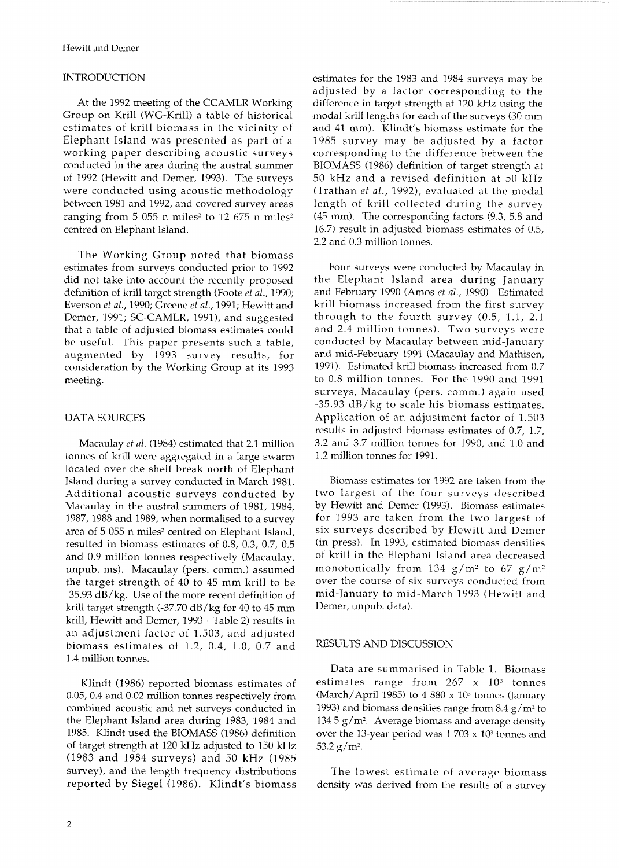## **INTRODUCTION**

At the 1992 meeting of the CCAMLR Working Group on Krill (WG-Krill) a table of historical estimates of krill biomass in the vicinity of Elephant Island was presented as part of a working paper describing acoustic surveys conducted in the area during the austral summer of 1992 (Hewitt and Demer, 1993). The surveys were conducted using acoustic methodology between 1981 and 1992, and covered survey areas ranging from 5 055 n miles<sup>2</sup> to 12 675 n miles<sup>2</sup> centred on Elephant Island.

The Working Group noted that biomass estimates from surveys conducted prior to 1992 did not take into account the recently proposed definition of krill target strength (Foote *et* al., 1990; Everson *et* al., 1990; Greene *et* al., 1991; Hewitt and Demer, 1991; SC-CAMLR, 1991), and suggested that a table of adjusted biomass estimates could be useful. This paper presents such a table, augmented by 1993 survey results, for consideration by the Working Group at its 1993 meeting.

# DATA SOURCES

Macaulay *et* al. (1984) estimated that 2.1 million tonnes of krill were aggregated in a large swarm located over the shelf break north of Elephant island during a survey conducted in March 1981. Additional acoustic surveys conducted by Macaulay in the austral summers of 1981, 1984, 1987,1988 and 1989, when normalised to a survey area of 5 055 n miles<sup>2</sup> centred on Elephant Island, resulted in biomass estimates of 0.8, 0.3, 0.7, 0.5 and 0.9 million tonnes respectively (Macaulay, unpub. ms). Macaulay (pers. comm.) assumed the target strength of 40 to 45 mm krill to be -35.93 dB/kg. Use of the more recent definition of krill target strength (-37.70 dB/kg for 40 to 45 mm krill, Hewitt and Demer, 1993 - Table 2) results in an adjustment factor of 1.503, and adjusted biomass estimates of 1.2, 0.4, 1.0, 0.7 and 1.4 million tonnes.

Klindt (1986) reported biomass estimates of 0.05, 0.4 and 0.02 million tonnes respectively from combined acoustic and net surveys conducted in the Elephant Island area during 1983, 1984 and 1985. Klindt used the BIOMASS (1986) definition of target strength at 120 kHz adjusted to 150 kHz (1983 and 1984 surveys) and 50 kHz (1985 survey), and the length frequency distributions reported by Siegel (1986). Klindt's biomass estimates for the 1983 and 1984 surveys may be adjusted by a factor corresponding to the difference in target strength at 120 kHz using the modal krill lengths for each of the surveys (30 mm and 41 mm). Klindt's biomass estimate for the 1985 survey may be adjusted by a factor corresponding to the difference between the BIOMASS (1986) definition of target strength at 50 kHz and a revised definition at 50 kHz (Trathan *et* al., 1992), evaluated at the modal length of krill collected during the survey (45 mm). The corresponding factors (9.3, 5.8 and 16.7) result in adjusted biomass estimates of 0.5, 2.2 and 0.3 million tonnes.

Four surveys were conducted by Macaulay in the Elephant Island area during January and February 1990 (Amos *et* al., 1990). Estimated krill biomass increased from the first survey through to the fourth survey (0.5, 1.1, 2.1 and 2.4 million tonnes). Two surveys were conducted by Macaulay between mid-January and mid-February 1991 (Macaulay and Mathisen, 1991). Estimated krill biomass increased from 0.7 to 0.8 million tonnes. For the 1990 and 1991 surveys, Macaulay (pers. comm.) again used -35.93 dB/kg to scale his biomass estimates. Application of an adjustment factor of 1.503 results in adjusted biomass estimates of 0.7, 1.7, 3.2 and 3.7 million tonnes for 1990, and 1.0 and 1.2 million tonnes for 1991.

Biomass estimates for 1992 are taken from the two largest of the four surveys described by Hewitt and Demer (1993). Biomass estimates for 1993 are taken from the two largest of six surveys described by Hewitt and Demer (in press). In 1993, estimated biomass densities of krill in the Elephant Island area decreased monotonically from 134  $g/m^2$  to 67  $g/m^2$ over the course of six surveys conducted from mid-January to mid-March 1993 (Hewitt and Demer, unpub. data).

# RESULTS AND DISCUSSION

Data are summarised in Table 1. Biomass estimates range from  $267 \times 10^3$  tonnes (March/April 1985) to 4 880 x 10<sup>3</sup> tonnes (January 1993) and biomass densities range from 8.4  $g/m^2$  to 134.5  $g/m^2$ . Average biomass and average density over the 13-year period was  $1703 \times 10^3$  tonnes and 53.2  $g/m^2$ .

The lowest estimate of average biomass density was derived from the results of a survey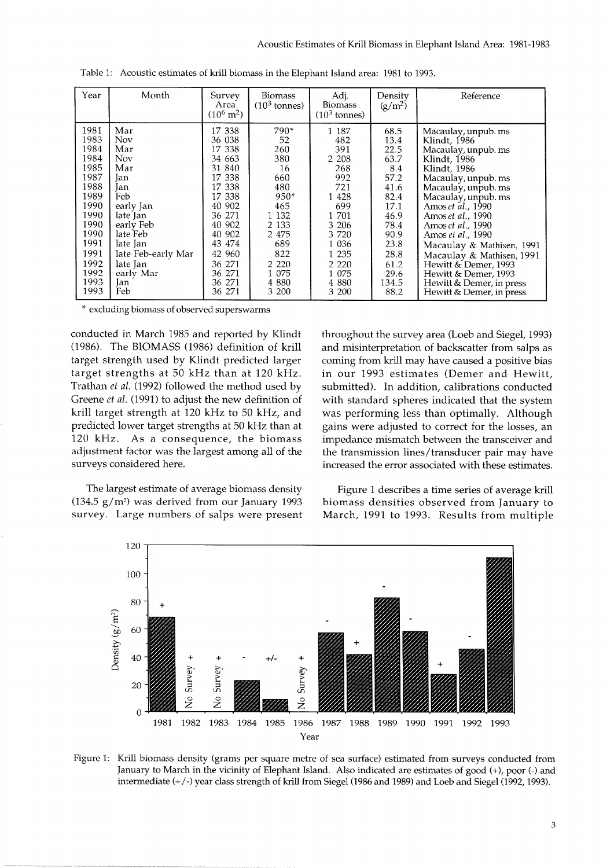| Year                                                                                                                                         | Month                                                                                                                                                                                   | Survey<br>Area<br>$(10^6 \text{ m}^2)$                                                                                                                                                                         | <b>Biomass</b><br>$(103$ tonnes)                                                                                                                     | Adj.<br><b>Biomass</b><br>$(103$ tonnes)                                                                                                                       | Density<br>$(g/m^2)$                                                                                                                         | Reference                                                                                                                                                                                                                                                                                                                                                                                                             |
|----------------------------------------------------------------------------------------------------------------------------------------------|-----------------------------------------------------------------------------------------------------------------------------------------------------------------------------------------|----------------------------------------------------------------------------------------------------------------------------------------------------------------------------------------------------------------|------------------------------------------------------------------------------------------------------------------------------------------------------|----------------------------------------------------------------------------------------------------------------------------------------------------------------|----------------------------------------------------------------------------------------------------------------------------------------------|-----------------------------------------------------------------------------------------------------------------------------------------------------------------------------------------------------------------------------------------------------------------------------------------------------------------------------------------------------------------------------------------------------------------------|
| 1981<br>1983<br>1984<br>1984<br>1985<br>1987<br>1988<br>1989<br>1990<br>1990<br>1990<br>1990<br>1991<br>1991<br>1992<br>1992<br>1993<br>1993 | Mar<br>Nov<br>Mar<br><b>Nov</b><br>Mar<br>lan.<br>lan<br>Feb<br>early Jan<br>late Jan<br>early Feb<br>late Feb<br>late Jan<br>late Feb-early Mar<br>late Jan<br>early Mar<br>Jan<br>Feb | 17 338<br>36 038<br>338<br>17<br>34 663<br>840<br>31<br>338<br>17<br>338<br>17<br>338<br>17<br>902<br>40<br>271<br>36<br>902<br>40<br>902<br>40<br>474<br>43<br>42 960<br>36 271<br>36 271<br>36 271<br>36 271 | 790*<br>52<br>260<br>380<br>16<br>660<br>480<br>$950*$<br>465<br>1 1 3 2<br>2 1 3 3<br>2 4 7 5<br>689<br>822<br>2 2 2 0<br>1 075<br>4 8 8 0<br>3 200 | 1 187<br>482<br>391<br>2 2 0 8<br>268<br>992<br>721<br>1 4 2 8<br>699<br>1 701<br>3 206<br>3 7 2 0<br>1 0 3 6<br>1 235<br>2 2 2 0<br>1 075<br>4 8 8 0<br>3 200 | 68.5<br>13.4<br>22.5<br>63.7<br>8.4<br>57.2<br>41.6<br>82.4<br>17.1<br>46.9<br>78.4<br>90.9<br>23.8<br>28.8<br>61.2<br>29.6<br>134.5<br>88.2 | Macaulay, unpub. ms<br>Klindt, 1986<br>Macaulay, unpub. ms<br>Klindt, 1986<br>Klindt, 1986<br>Macaulay, unpub. ms<br>Macaulay, unpub. ms<br>Macaulay, unpub. ms<br>Amos et al., 1990<br>Amos et al., 1990<br>Amos et al., 1990<br>Amos et al., 1990<br>Macaulay & Mathisen, 1991<br>Macaulay & Mathisen, 1991<br>Hewitt & Demer, 1993<br>Hewitt & Demer, 1993<br>Hewitt & Demer, in press<br>Hewitt & Demer, in press |

Table 1: Acoustic estimates of krill biomass in the Elephant Island area: 1981 to 1993.

\* excluding biomass of observed superswarms

conducted in March 1985 and reported by Klindt (1986). The BIOMASS (1986) definition of krill target strength used by Klindt predicted larger target strengths at 50 kHz than at 120 kHz. Trathan *et al.* (1992) followed the method used by Greene et *al.* (1991) to adjust the new definition of krill target strength at 120 kHz to 50 kHz, and predicted lower target strengths at 50 kHz than at 120 kHz. As a consequence, the biomass adjustment factor was the largest among all of the surveys considered here.

The largest estimate of average biomass density (134.5  $g/m^2$ ) was derived from our January 1993 survey. Large numbers of salps were present throughout the survey area (Loeb and Siegel, 1993) and misinterpretation of backscatter from salps as coming from krill may have caused a positive bias in our 1993 estimates (Demer and Hewitt, submitted). In addition, calibrations conducted with standard spheres indicated that the system was performing less than optimally. Although gains were adjusted to correct for the losses, an impedance mismatch between the transceiver and the transmission lines/transducer pair may have increased the error associated with these estimates.

Figure 1 describes a time series of average krill biomass densities observed from January to March, 1991 to 1993. Results from multiple



Figure 1: Krill biomass density (grams per square metre of sea surface) estimated from surveys conducted from January to March in the vicinity of Elephant Island. Also indicated are estimates of good (+), poor (-) and intermediate (+/-) year class strength of krill from Siegel (1986 and 1989) and Loeb and Siegel (1992,1993).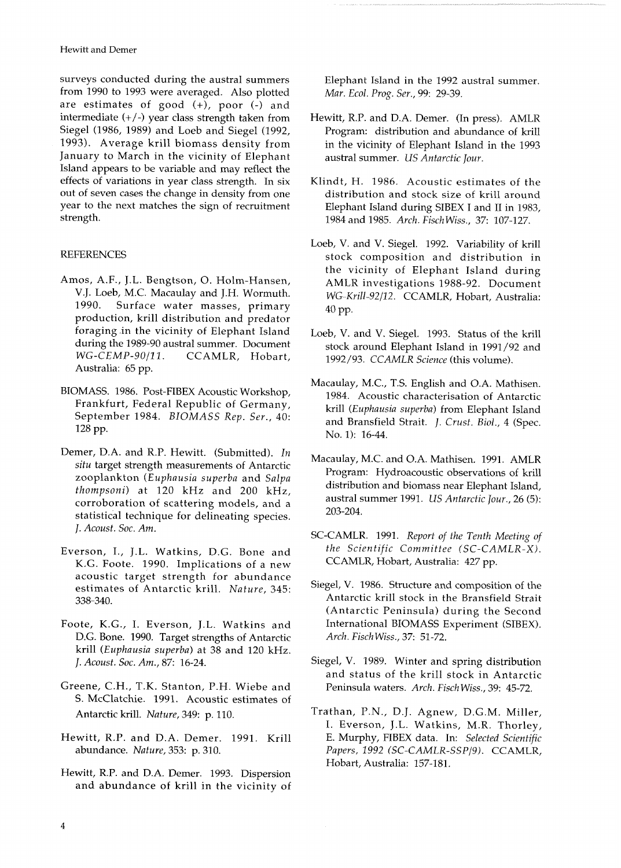surveys conducted during the austral summers from 1990 to 1993 were averaged. Also plotted are estimates of good  $(+)$ , poor  $(-)$  and intermediate  $(+/-)$  year class strength taken from Siegel (1986, 1989) and Loeb and Siegel (1992, 1993). Average krill biomass density from January to March in the vicinity of Elephant Island appears to be variable and may reflect the effects of variations in year class strength. In six out of seven cases the change in density from one year to the next matches the sign of recruitment strength.

## **REFERENCES**

- Amos, A.F., J.L. Bengtson, 0. Holm-Hansen, V.J. Loeb, M.C. Macaulay and J.H. Wormuth. 1990. Surface water masses, primary production, krill distribution and predator foraging .in the vicinity of Elephant Island during the 1989-90 austral summer. Document<br>WG-CEMP-90/11. CCAMLR, Hobart, CCAMLR, Hobart, Australia: 65 pp.
- BIOMASS. 1986. Post-FIBEX Acoustic Workshop, 1984. Acoustic characterisation of Antarctic<br>Frankfurt, Federal Republic of Germany, 1984. Acoustic characterisation of Antarctic
- Demer, D.A. and R.P. Hewitt. (Submitted). In situ target strength measurements of Antarctic zooplankton (Euphausia superba and Salpa thompsoni) at 120 kHz and 200 kHz, corroboration of scattering models, and a statistical technique for delineating species. J. Acoust. Soc. Am.
- Everson, I., J.L. Watkins, D.G. Bone and K.G. Foote. 1990. Implications of a new acoustic target strength for abundance estimates of Antarctic krill. Nature, 345: 338-340.
- Foote, K.G., I. Everson, J.L. Watkins and D.G. Bone. 1990. Target strengths of Antarctic krill (Euphausia superba) at 38 and 120 kHz. *J.* Acoust. Soc. Am., 87: 16-24.
- Greene, C.H., T.K. Stanton, P.H. Wiebe and S. McClatchie. 1991. Acoustic estimates of Antarctic krill. Nature, 349: p. 110.
- Hewitt, R.P. and D.A. Demer. 1991. Krill abundance. Nature, 353: p. 310.
- Hewitt, R.P. and D.A. Demer. 1993. Dispersion and abundance of krill in the vicinity of

Elephant Island in the 1992 austral summer. Mar. Ecol. Prog. Ser., 99: 29-39.

- Hewitt, R.P. and D.A. Demer. (In press). AMLR Program: distribution and abundance of krill in the vicinity of Elephant Island in the 1993 austral summer. US Antarctic Jour.
- Klindt, H. 1986. Acoustic estimates of the distribution and stock size of krill around Elephant Island during SIBEX I and I1 in 1983, 1984 and 1985. Arch. Fisch Wiss., 37: 107-127.
- Loeb, V. and V. Siegel. 1992. Variability of krill stock composition and distribution in the vicinity of Elephant Island during AMLR investigations 1988-92. Document WG-Krill-92/12. CCAMLR, Hobart, Australia: 40 PP.
- Loeb, V. and V. Siegel. 1993. Status of the krill stock around Elephant Island in 1991/92 and 1992/93. CCAMLR Science (this volume).
- Macaulay, M.C., T.S. English and O.A. Mathisen. Frankfurt, Federal Republic of Germany, krill (Euphausia superba) from Elephant Island<br>September 1984. BIOMASS Rep. Ser., 40: and Bransfield Strait. *J. Crust. Biol.*, 4 (Spec. No. 1): 16-44.
	- Macaulay, M.C. and O.A. Mathisen. 1991. AMLR Program: Hydroacoustic observations of krill distribution and biomass near Elephant Island, austral summer 1991. US Antarctic Jour., 26 (5): 203-204.
	- SC-CAMLR. 1991. Report of the Tenth Meeting of the Scientific Committee (SC-CAMLR-X). CCAMLR, Hobart, Australia: 427 pp.
	- Siegel, V. 1986. Structure and composition of the Antarctic krill stock in the Bransfield Strait (Antarctic Peninsula) during the Second International BIOMASS Experiment (SIBEX). Arch. Fisch Wiss., 37: 51-72.
	- Siegel, V. 1989. Winter and spring distribution and status of the krill stock in Antarctic Peninsula waters. Arch. Fisch Wiss., 39: 45-72.
	- Trathan, P.N., D.J. Agnew, D.G.M. Miller, I. Everson, J.L. Watkins, M.R. Thorley, E. Murphy, FIBEX data. In: Selected Scientific Papers, 1992 (SC-CAMLR-SSP/9). CCAMLR, Hobart, Australia: 157-181.